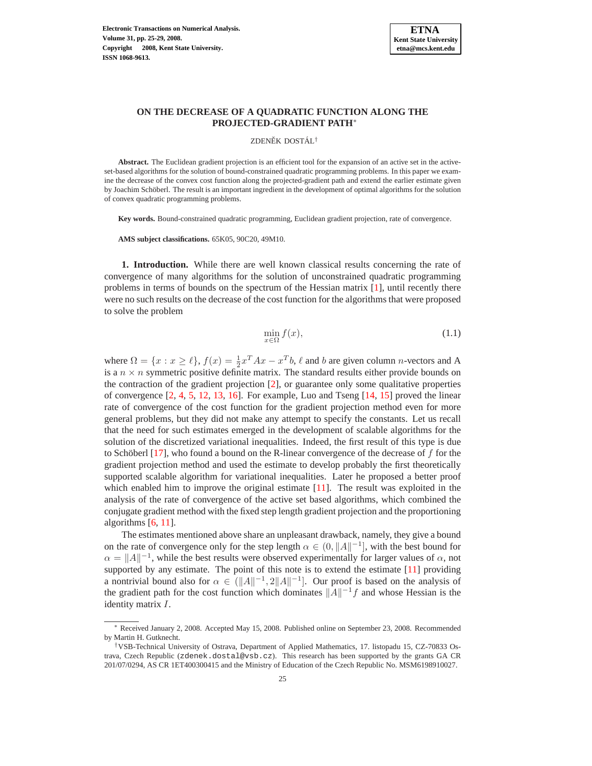

# **ON THE DECREASE OF A QUADRATIC FUNCTION ALONG THE PROJECTED-GRADIENT PATH**<sup>∗</sup>

ZDENĚK DOSTÁL<sup>†</sup>

**Abstract.** The Euclidean gradient projection is an efficient tool for the expansion of an active set in the activeset-based algorithms for the solution of bound-constrained quadratic programming problems. In this paper we examine the decrease of the convex cost function along the projected-gradient path and extend the earlier estimate given by Joachim Schöberl. The result is an important ingredient in the development of optimal algorithms for the solution of convex quadratic programming problems.

**Key words.** Bound-constrained quadratic programming, Euclidean gradient projection, rate of convergence.

**AMS subject classifications.** 65K05, 90C20, 49M10.

**1. Introduction.** While there are well known classical results concerning the rate of convergence of many algorithms for the solution of unconstrained quadratic programming problems in terms of bounds on the spectrum of the Hessian matrix [\[1\]](#page-3-0), until recently there were no such results on the decrease of the cost function for the algorithms that were proposed to solve the problem

<span id="page-0-0"></span>
$$
\min_{x \in \Omega} f(x),\tag{1.1}
$$

where  $\Omega = \{x : x \ge \ell\}$ ,  $f(x) = \frac{1}{2}x^T A x - x^T b$ ,  $\ell$  and  $b$  are given column *n*-vectors and A is a  $n \times n$  symmetric positive definite matrix. The standard results either provide bounds on the contraction of the gradient projection [\[2\]](#page-3-1), or guarantee only some qualitative properties of convergence [\[2,](#page-3-1) [4,](#page-3-2) [5,](#page-4-0) [12,](#page-4-1) [13,](#page-4-2) [16\]](#page-4-3). For example, Luo and Tseng [\[14,](#page-4-4) [15\]](#page-4-5) proved the linear rate of convergence of the cost function for the gradient projection method even for more general problems, but they did not make any attempt to specify the constants. Let us recall that the need for such estimates emerged in the development of scalable algorithms for the solution of the discretized variational inequalities. Indeed, the first result of this type is due to Schöberl  $[17]$  $[17]$ , who found a bound on the R-linear convergence of the decrease of f for the gradient projection method and used the estimate to develop probably the first theoretically supported scalable algorithm for variational inequalities. Later he proposed a better proof which enabled him to improve the original estimate  $[11]$ . The result was exploited in the analysis of the rate of convergence of the active set based algorithms, which combined the conjugate gradient method with the fixed step length gradient projection and the proportioning algorithms  $[6, 11]$  $[6, 11]$ .

The estimates mentioned above share an unpleasant drawback, namely, they give a bound on the rate of convergence only for the step length  $\alpha \in (0, ||A||^{-1}]$ , with the best bound for  $\alpha = ||A||^{-1}$ , while the best results were observed experimentally for larger values of  $\alpha$ , not supported by any estimate. The point of this note is to extend the estimate [\[11\]](#page-4-7) providing a nontrivial bound also for  $\alpha \in (||A||^{-1}, 2||A||^{-1}]$ . Our proof is based on the analysis of the gradient path for the cost function which dominates  $||A||^{-1}f$  and whose Hessian is the identity matrix I.

<sup>∗</sup> Received January 2, 2008. Accepted May 15, 2008. Published online on September 23, 2008. Recommended by Martin H. Gutknecht.

<sup>†</sup>VSB-Technical University of Ostrava, Department of Applied Mathematics, 17. listopadu 15, CZ-70833 Ostrava, Czech Republic (zdenek.dostal@vsb.cz). This research has been supported by the grants GA CR 201/07/0294, AS CR 1ET400300415 and the Ministry of Education of the Czech Republic No. MSM6198910027.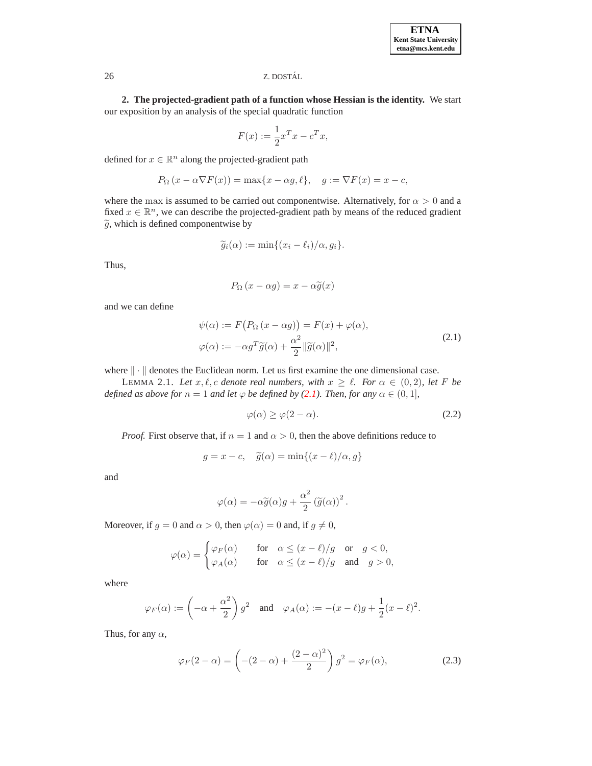## 26 Z. DOSTAL´

**2. The projected-gradient path of a function whose Hessian is the identity.** We start our exposition by an analysis of the special quadratic function

$$
F(x) := \frac{1}{2}x^T x - c^T x,
$$

defined for  $x \in \mathbb{R}^n$  along the projected-gradient path

$$
P_{\Omega}(x - \alpha \nabla F(x)) = \max\{x - \alpha g, \ell\}, \quad g := \nabla F(x) = x - c,
$$

where the max is assumed to be carried out componentwise. Alternatively, for  $\alpha > 0$  and a fixed  $x \in \mathbb{R}^n$ , we can describe the projected-gradient path by means of the reduced gradient  $\tilde{g}$ , which is defined componentwise by

$$
\widetilde{g}_i(\alpha) := \min\{(x_i - \ell_i)/\alpha, g_i\}.
$$

Thus,

$$
P_{\Omega}(x - \alpha g) = x - \alpha \tilde{g}(x)
$$

<span id="page-1-0"></span>and we can define

$$
\psi(\alpha) := F(P_{\Omega}(x - \alpha g)) = F(x) + \varphi(\alpha),
$$
  

$$
\varphi(\alpha) := -\alpha g^T \tilde{g}(\alpha) + \frac{\alpha^2}{2} ||\tilde{g}(\alpha)||^2,
$$
 (2.1)

<span id="page-1-3"></span>where  $\|\cdot\|$  denotes the Euclidean norm. Let us first examine the one dimensional case.

LEMMA 2.1. Let  $x, \ell, c$  denote real numbers, with  $x \geq \ell$ . For  $\alpha \in (0, 2)$ , let F be *defined as above for*  $n = 1$  *and let*  $\varphi$  *be defined by* [\(2.1\)](#page-1-0)*. Then, for any*  $\alpha \in (0, 1]$ *,* 

$$
\varphi(\alpha) \ge \varphi(2 - \alpha). \tag{2.2}
$$

*Proof.* First observe that, if  $n = 1$  and  $\alpha > 0$ , then the above definitions reduce to

<span id="page-1-1"></span>
$$
g = x - c, \quad \tilde{g}(\alpha) = \min\{(x - \ell)/\alpha, g\}
$$

and

$$
\varphi(\alpha) = -\alpha \tilde{g}(\alpha) g + \frac{\alpha^2}{2} (\tilde{g}(\alpha))^2.
$$

Moreover, if  $g = 0$  and  $\alpha > 0$ , then  $\varphi(\alpha) = 0$  and, if  $g \neq 0$ ,

$$
\varphi(\alpha) = \begin{cases} \varphi_F(\alpha) & \text{for} \quad \alpha \le (x - \ell)/g \quad \text{or} \quad g < 0, \\ \varphi_A(\alpha) & \text{for} \quad \alpha \le (x - \ell)/g \quad \text{and} \quad g > 0, \end{cases}
$$

where

$$
\varphi_F(\alpha) := \left(-\alpha + \frac{\alpha^2}{2}\right)g^2 \quad \text{and} \quad \varphi_A(\alpha) := -(x - \ell)g + \frac{1}{2}(x - \ell)^2.
$$

<span id="page-1-2"></span>Thus, for any  $\alpha$ ,

$$
\varphi_F(2-\alpha) = \left(-(2-\alpha) + \frac{(2-\alpha)^2}{2}\right)g^2 = \varphi_F(\alpha),\tag{2.3}
$$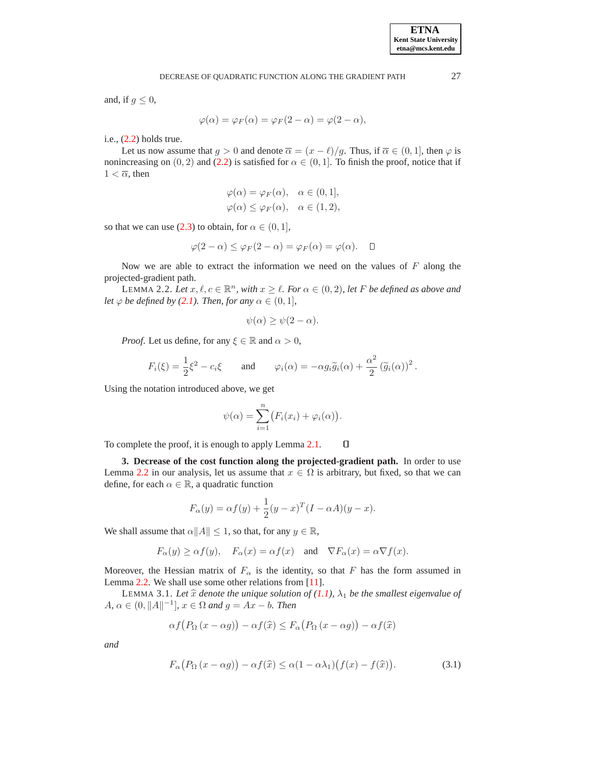and, if  $g \leq 0$ ,

$$
\varphi(\alpha) = \varphi_F(\alpha) = \varphi_F(2 - \alpha) = \varphi(2 - \alpha),
$$

i.e., [\(2.2\)](#page-1-1) holds true.

Let us now assume that  $g > 0$  and denote  $\overline{\alpha} = (x - \ell)/g$ . Thus, if  $\overline{\alpha} \in (0, 1]$ , then  $\varphi$  is nonincreasing on  $(0, 2)$  and  $(2.2)$  is satisfied for  $\alpha \in (0, 1]$ . To finish the proof, notice that if  $1 < \overline{\alpha}$ , then

$$
\varphi(\alpha) = \varphi_F(\alpha), \quad \alpha \in (0, 1],
$$
  

$$
\varphi(\alpha) \leq \varphi_F(\alpha), \quad \alpha \in (1, 2),
$$

so that we can use [\(2.3\)](#page-1-2) to obtain, for  $\alpha \in (0, 1]$ ,

$$
\varphi(2-\alpha) \leq \varphi_F(2-\alpha) = \varphi_F(\alpha) = \varphi(\alpha). \quad \Box
$$

<span id="page-2-0"></span>Now we are able to extract the information we need on the values of  $F$  along the projected-gradient path.

LEMMA 2.2. Let  $x, \ell, c \in \mathbb{R}^n$ , with  $x \geq \ell$ . For  $\alpha \in (0, 2)$ , let F be defined as above and *let*  $\varphi$  *be defined by [\(2.1\)](#page-1-0). Then, for any*  $\alpha \in (0, 1]$ *,* 

$$
\psi(\alpha) \ge \psi(2-\alpha).
$$

*Proof.* Let us define, for any  $\xi \in \mathbb{R}$  and  $\alpha > 0$ ,

$$
F_i(\xi) = \frac{1}{2}\xi^2 - c_i\xi \quad \text{and} \quad \varphi_i(\alpha) = -\alpha g_i \widetilde{g}_i(\alpha) + \frac{\alpha^2}{2} (\widetilde{g}_i(\alpha))^2.
$$

Using the notation introduced above, we get

$$
\psi(\alpha) = \sum_{i=1}^{n} \bigl( F_i(x_i) + \varphi_i(\alpha) \bigr).
$$

To complete the proof, it is enough to apply Lemma [2.1.](#page-1-3)  $\Box$ 

**3. Decrease of the cost function along the projected-gradient path.** In order to use Lemma [2.2](#page-2-0) in our analysis, let us assume that  $x \in \Omega$  is arbitrary, but fixed, so that we can define, for each  $\alpha \in \mathbb{R}$ , a quadratic function

$$
F_{\alpha}(y) = \alpha f(y) + \frac{1}{2}(y - x)^{T}(I - \alpha A)(y - x).
$$

We shall assume that  $\alpha||A|| \leq 1$ , so that, for any  $y \in \mathbb{R}$ ,

$$
F_{\alpha}(y) \geq \alpha f(y), \quad F_{\alpha}(x) = \alpha f(x) \quad \text{and} \quad \nabla F_{\alpha}(x) = \alpha \nabla f(x).
$$

Moreover, the Hessian matrix of  $F_{\alpha}$  is the identity, so that F has the form assumed in Lemma [2.2.](#page-2-0) We shall use some other relations from [\[11\]](#page-4-7).

<span id="page-2-1"></span>LEMMA 3.1. Let  $\hat{x}$  *denote the unique solution of* [\(1.1\)](#page-0-0),  $\lambda_1$  *be the smallest eigenvalue of*  $A, \, \alpha \in (0, \|A\|^{-1}], \, x \in \Omega \text{ and } g = Ax - b.$  Then

$$
\alpha f(P_{\Omega}(x-\alpha g)) - \alpha f(\widehat{x}) \le F_{\alpha}(P_{\Omega}(x-\alpha g)) - \alpha f(\widehat{x})
$$

<span id="page-2-2"></span>*and*

$$
F_{\alpha}(P_{\Omega}(x - \alpha g)) - \alpha f(\hat{x}) \leq \alpha (1 - \alpha \lambda_1) (f(x) - f(\hat{x})). \tag{3.1}
$$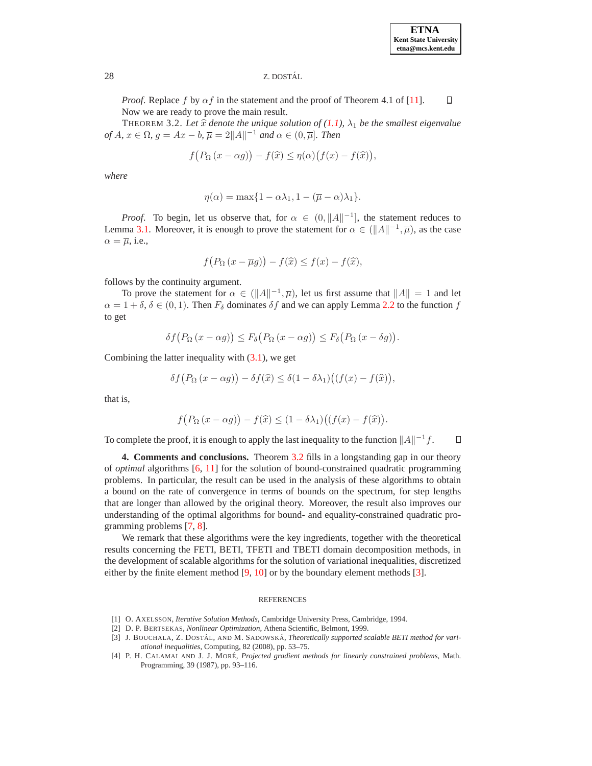# 28 Z. DOSTAL´

*Proof.* Replace f by  $\alpha f$  in the statement and the proof of Theorem 4.1 of [\[11\]](#page-4-7).  $\Box$ Now we are ready to prove the main result.

<span id="page-3-3"></span>THEOREM 3.2. Let  $\hat{x}$  *denote the unique solution of* [\(1.1\)](#page-0-0),  $\lambda_1$  *be the smallest eigenvalue*  $of A, x \in \Omega, g = Ax - b, \overline{\mu} = 2||A||^{-1}$  *and*  $\alpha \in (0, \overline{\mu}]$ *. Then* 

$$
f(P_{\Omega}(x-\alpha g)) - f(\widehat{x}) \leq \eta(\alpha) \big( f(x) - f(\widehat{x}) \big),
$$

*where*

$$
\eta(\alpha) = \max\{1 - \alpha\lambda_1, 1 - (\overline{\mu} - \alpha)\lambda_1\}.
$$

*Proof.* To begin, let us observe that, for  $\alpha \in (0, ||A||^{-1}]$ , the statement reduces to Lemma [3.1.](#page-2-1) Moreover, it is enough to prove the statement for  $\alpha \in (\|A\|^{-1}, \overline{\mu})$ , as the case  $\alpha = \overline{\mu}$ , i.e.,

$$
f(P_{\Omega}(x-\overline{\mu}g)) - f(\widehat{x}) \le f(x) - f(\widehat{x}),
$$

follows by the continuity argument.

To prove the statement for  $\alpha \in (\|A\|^{-1}, \overline{\mu})$ , let us first assume that  $\|A\| = 1$  and let  $\alpha = 1 + \delta$ ,  $\delta \in (0, 1)$ . Then  $F_{\delta}$  dominates  $\delta f$  and we can apply Lemma [2.2](#page-2-0) to the function f to get

$$
\delta f(P_{\Omega}(x-\alpha g)) \leq F_{\delta}(P_{\Omega}(x-\alpha g)) \leq F_{\delta}(P_{\Omega}(x-\delta g)).
$$

Combining the latter inequality with  $(3.1)$ , we get

$$
\delta f(P_{\Omega}(x - \alpha g)) - \delta f(\widehat{x}) \leq \delta (1 - \delta \lambda_1) ((f(x) - f(\widehat{x})),
$$

that is,

$$
f(P_{\Omega}(x-\alpha g))-f(\widehat{x})\leq (1-\delta\lambda_1)\big((f(x)-f(\widehat{x})).
$$

To complete the proof, it is enough to apply the last inequality to the function  $||A||^{-1}f$ .  $\Box$ 

**4. Comments and conclusions.** Theorem [3.2](#page-3-3) fills in a longstanding gap in our theory of *optimal* algorithms [\[6,](#page-4-8) [11\]](#page-4-7) for the solution of bound-constrained quadratic programming problems. In particular, the result can be used in the analysis of these algorithms to obtain a bound on the rate of convergence in terms of bounds on the spectrum, for step lengths that are longer than allowed by the original theory. Moreover, the result also improves our understanding of the optimal algorithms for bound- and equality-constrained quadratic programming problems [\[7,](#page-4-9) [8\]](#page-4-10).

We remark that these algorithms were the key ingredients, together with the theoretical results concerning the FETI, BETI, TFETI and TBETI domain decomposition methods, in the development of scalable algorithms for the solution of variational inequalities, discretized either by the finite element method [\[9,](#page-4-11) [10\]](#page-4-12) or by the boundary element methods [\[3\]](#page-3-4).

### **REFERENCES**

- <span id="page-3-1"></span><span id="page-3-0"></span>[1] O. AXELSSON, *Iterative Solution Methods*, Cambridge University Press, Cambridge, 1994.
- <span id="page-3-4"></span>[2] D. P. BERTSEKAS, *Nonlinear Optimization*, Athena Scientific, Belmont, 1999.
- [3] J. BOUCHALA, Z. DOSTÁL, AND M. SADOWSKÁ, *Theoretically supported scalable BETI method for variational inequalities*, Computing, 82 (2008), pp. 53–75.
- <span id="page-3-2"></span>[4] P. H. CALAMAI AND J. J. MORE´, *Projected gradient methods for linearly constrained problems*, Math. Programming, 39 (1987), pp. 93–116.